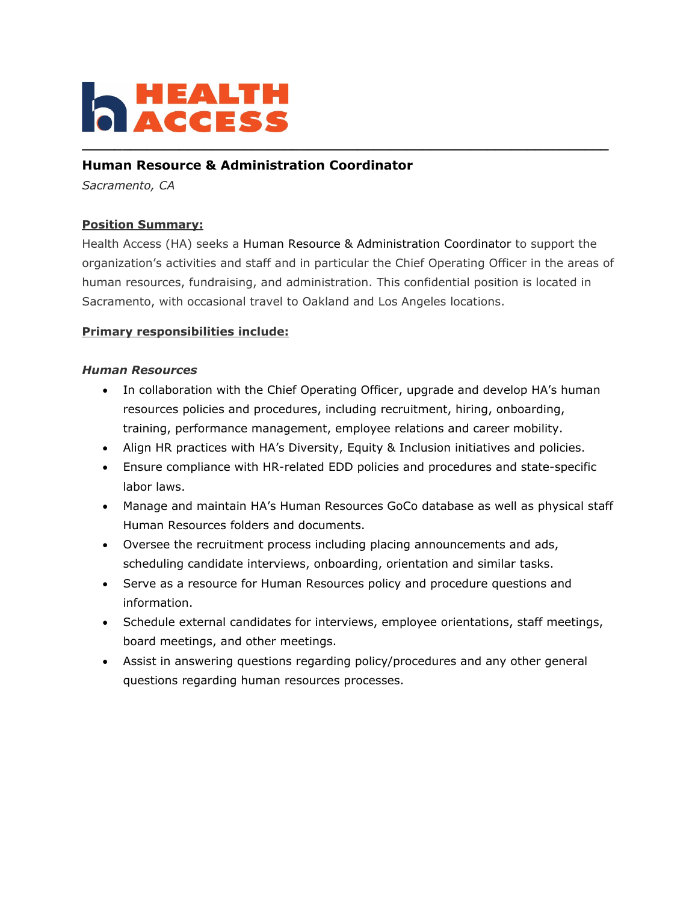

### **Human Resource & Administration Coordinator**

*Sacramento, CA*

#### **Position Summary:**

Health Access (HA) seeks a Human Resource & Administration Coordinator to support the organization's activities and staff and in particular the Chief Operating Officer in the areas of human resources, fundraising, and administration. This confidential position is located in Sacramento, with occasional travel to Oakland and Los Angeles locations.

#### **Primary responsibilities include:**

#### *Human Resources*

- In collaboration with the Chief Operating Officer, upgrade and develop HA's human resources policies and procedures, including recruitment, hiring, onboarding, training, performance management, employee relations and career mobility.
- Align HR practices with HA's Diversity, Equity & Inclusion initiatives and policies.
- Ensure compliance with HR-related EDD policies and procedures and state-specific labor laws.
- Manage and maintain HA's Human Resources GoCo database as well as physical staff Human Resources folders and documents.
- Oversee the recruitment process including placing announcements and ads, scheduling candidate interviews, onboarding, orientation and similar tasks.
- Serve as a resource for Human Resources policy and procedure questions and information.
- Schedule external candidates for interviews, employee orientations, staff meetings, board meetings, and other meetings.
- Assist in answering questions regarding policy/procedures and any other general questions regarding human resources processes.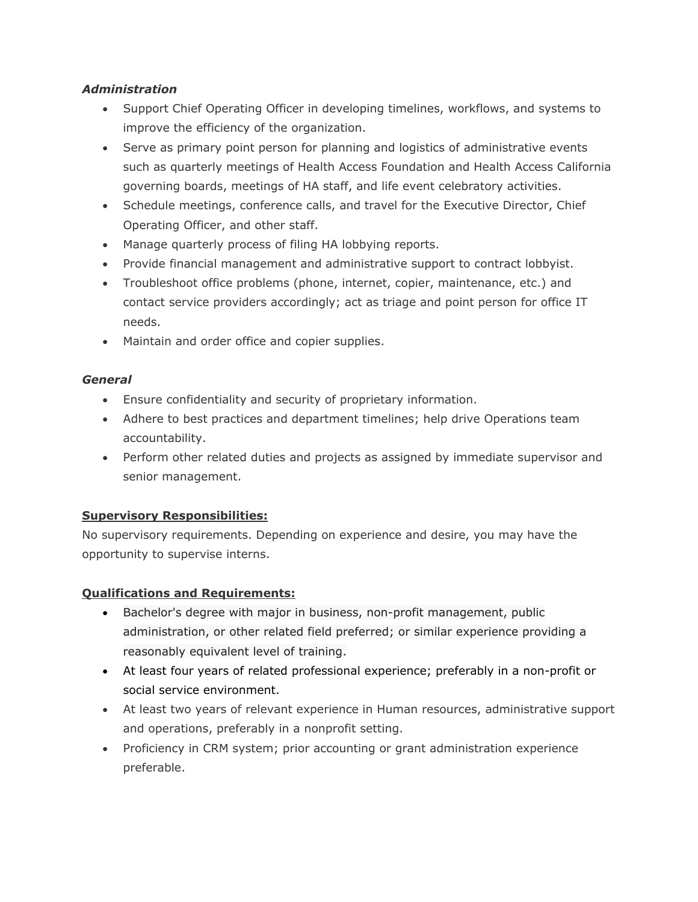#### *Administration*

- Support Chief Operating Officer in developing timelines, workflows, and systems to improve the efficiency of the organization.
- Serve as primary point person for planning and logistics of administrative events such as quarterly meetings of Health Access Foundation and Health Access California governing boards, meetings of HA staff, and life event celebratory activities.
- Schedule meetings, conference calls, and travel for the Executive Director, Chief Operating Officer, and other staff.
- Manage quarterly process of filing HA lobbying reports.
- Provide financial management and administrative support to contract lobbyist.
- Troubleshoot office problems (phone, internet, copier, maintenance, etc.) and contact service providers accordingly; act as triage and point person for office IT needs.
- Maintain and order office and copier supplies.

#### *General*

- Ensure confidentiality and security of proprietary information.
- Adhere to best practices and department timelines; help drive Operations team accountability.
- Perform other related duties and projects as assigned by immediate supervisor and senior management.

# **Supervisory Responsibilities:**

No supervisory requirements. Depending on experience and desire, you may have the opportunity to supervise interns.

# **Qualifications and Requirements:**

- Bachelor's degree with major in business, non-profit management, public administration, or other related field preferred; or similar experience providing a reasonably equivalent level of training.
- At least four years of related professional experience; preferably in a non-profit or social service environment.
- At least two years of relevant experience in Human resources, administrative support and operations, preferably in a nonprofit setting.
- Proficiency in CRM system; prior accounting or grant administration experience preferable.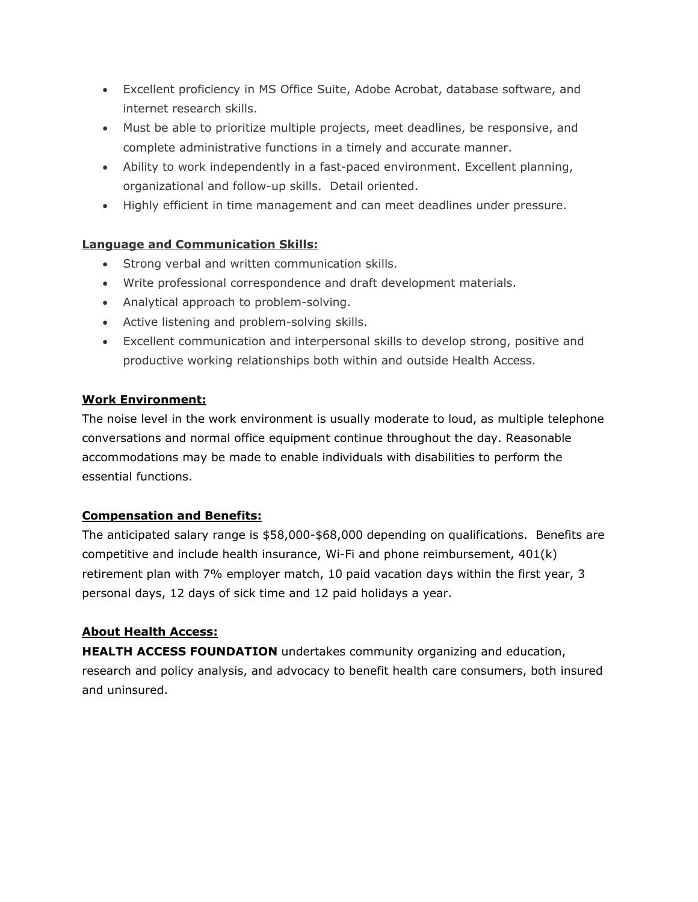- Excellent proficiency in MS Office Suite, Adobe Acrobat, database software, and internet research skills.
- Must be able to prioritize multiple projects, meet deadlines, be responsive, and complete administrative functions in a timely and accurate manner.
- Ability to work independently in a fast-paced environment. Excellent planning, organizational and follow-up skills. Detail oriented.
- Highly efficient in time management and can meet deadlines under pressure.

# **Language and Communication Skills:**

- Strong verbal and written communication skills.
- Write professional correspondence and draft development materials.
- Analytical approach to problem-solving.
- Active listening and problem-solving skills.
- Excellent communication and interpersonal skills to develop strong, positive and productive working relationships both within and outside Health Access.

#### **Work Environment:**

The noise level in the work environment is usually moderate to loud, as multiple telephone conversations and normal office equipment continue throughout the day. Reasonable accommodations may be made to enable individuals with disabilities to perform the essential functions.

# **Compensation and Benefits:**

The anticipated salary range is \$58,000-\$68,000 depending on qualifications. Benefits are competitive and include health insurance, Wi-Fi and phone reimbursement, 401(k) retirement plan with 7% employer match, 10 paid vacation days within the first year, 3 personal days, 12 days of sick time and 12 paid holidays a year.

# **About Health Access:**

**HEALTH ACCESS FOUNDATION** undertakes community organizing and education, research and policy analysis, and advocacy to benefit health care consumers, both insured and uninsured.